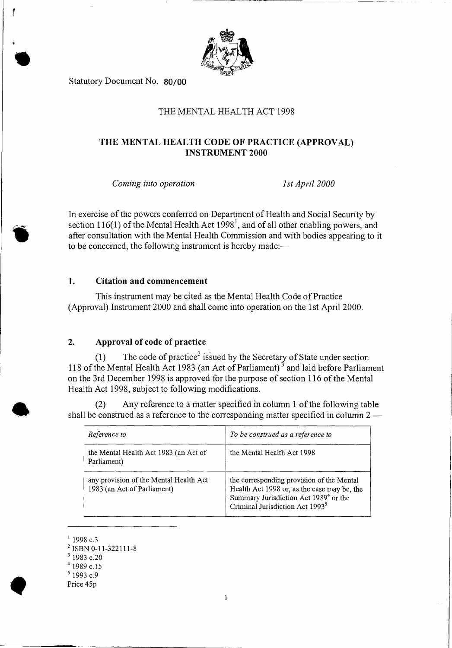

Statutory Document No. **80/00** 

## THE MENTAL HEALTH ACT 1998

# **THE MENTAL HEALTH CODE OF PRACTICE (APPROVAL) INSTRUMENT 2000**

*Coming into operation 1st April 2000* 

In exercise of the powers conferred on Department of Health and Social Security by section 116(1) of the Mental Health Act  $1998<sup>1</sup>$ , and of all other enabling powers, and after consultation with the Mental Health Commission and with bodies appearing to it to be concerned, the following instrument is hereby made:—

#### **1. Citation and commencement**

This instrument may be cited as the Mental Health Code of Practice (Approval) Instrument 2000 and shall come into operation on the 1st April 2000.

## **2. Approval of code of practice**

(1) The code of practice<sup>2</sup> issued by the Secretary of State under section 118 of the Mental Health Act 1983 (an Act of Parliament)<sup>3</sup> and laid before Parliament on the 3rd December 1998 is approved for the purpose of section 116 of the Mental Health Act 1998, subject to following modifications.

(2) Any reference to a matter specified in column 1 of the following table shall be construed as a reference to the corresponding matter specified in column 2 —

| Reference to                                                          | To be construed as a reference to                                                                                                                                                            |
|-----------------------------------------------------------------------|----------------------------------------------------------------------------------------------------------------------------------------------------------------------------------------------|
| the Mental Health Act 1983 (an Act of<br>Parliament)                  | the Mental Health Act 1998                                                                                                                                                                   |
| any provision of the Mental Health Act<br>1983 (an Act of Parliament) | the corresponding provision of the Mental<br>Health Act 1998 or, as the case may be, the<br>Summary Jurisdiction Act 1989 <sup>4</sup> or the<br>Criminal Jurisdiction Act 1993 <sup>5</sup> |

 $1998$  c.3

'Sr

<sup>2</sup> ISBN 0-11-322111-8

Price 45p

 $3$  1983 c.20

<sup>4</sup>1989 c.15

 $51993$  c.9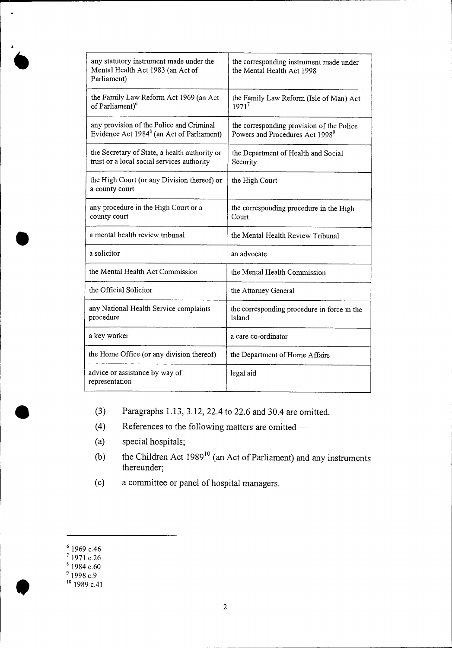| any statutory instrument made under the<br>Mental Health Act 1983 (an Act of<br>Parliament)       | the corresponding instrument made under<br>the Mental Health Act 1998                    |
|---------------------------------------------------------------------------------------------------|------------------------------------------------------------------------------------------|
| the Family Law Reform Act 1969 (an Act<br>of Parliament) <sup>6</sup>                             | the Family Law Reform (Isle of Man) Act<br>1971 <sup>7</sup>                             |
| any provision of the Police and Criminal<br>Evidence Act 1984 <sup>8</sup> (an Act of Parliament) | the corresponding provision of the Police<br>Powers and Procedures Act 1998 <sup>9</sup> |
| the Secretary of State, a health authority or<br>trust or a local social services authority       | the Department of Health and Social<br>Security                                          |
| the High Court (or any Division thereof) or<br>a county court                                     | the High Court                                                                           |
| any procedure in the High Court or a<br>county court                                              | the corresponding procedure in the High<br>Court                                         |
| a mental health review tribunal                                                                   | the Mental Health Review Tribunal                                                        |
| a solicitor                                                                                       | an advocate                                                                              |
| the Mental Health Act Commission                                                                  | the Mental Health Commission                                                             |
| the Official Solicitor                                                                            | the Attorney General                                                                     |
| any National Health Service complaints<br>procedure                                               | the corresponding procedure in force in the<br>Island                                    |
| a key worker                                                                                      | a care co-ordinator                                                                      |
| the Home Office (or any division thereof)                                                         | the Department of Home Affairs                                                           |
| advice or assistance by way of<br>representation                                                  | legal aid                                                                                |

- (3) Paragraphs 1.13, 3.12, 22.4 to 22.6 and 30.4 are omitted.
- (4) References to the following matters are omitted —
- (a) special hospitals;
- (b) the Children Act  $1989^{10}$  (an Act of Parliament) and any instruments thereunder;
- (c) a committee or panel of hospital managers.

a

**•** 

 $\frac{9}{2}$  1969 c.46

 $'$  1971 c.26

 $\degree$  1984 c.60

 $^{9}$  1998 c.9

 $1989$  c.41